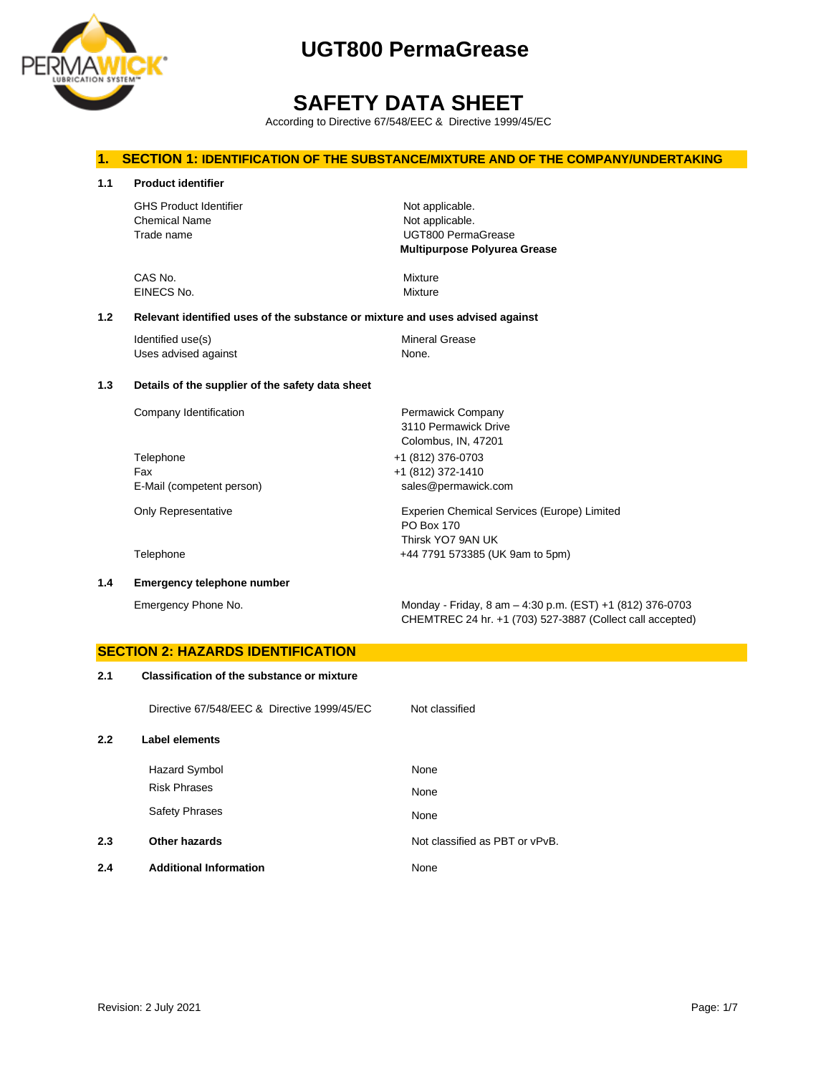

## **SAFETY DATA SHEET**

According to Directive 67/548/EEC & Directive 1999/45/EC

### **1. SECTION 1: IDENTIFICATION OF THE SUBSTANCE/MIXTURE AND OF THE COMPANY/UNDERTAKING**

| 1.1 | <b>Product identifier</b>                                                     |                                                                                                 |  |  |  |
|-----|-------------------------------------------------------------------------------|-------------------------------------------------------------------------------------------------|--|--|--|
|     | <b>GHS Product Identifier</b><br><b>Chemical Name</b><br>Trade name           | Not applicable.<br>Not applicable.<br>UGT800 PermaGrease<br><b>Multipurpose Polyurea Grease</b> |  |  |  |
|     | CAS No.<br>EINECS No.                                                         | Mixture<br><b>Mixture</b>                                                                       |  |  |  |
| 1.2 | Relevant identified uses of the substance or mixture and uses advised against |                                                                                                 |  |  |  |
|     | Identified use(s)<br>Uses advised against                                     | <b>Mineral Grease</b><br>None.                                                                  |  |  |  |
| 1.3 | Details of the supplier of the safety data sheet                              |                                                                                                 |  |  |  |
|     | Company Identification                                                        | Permawick Company<br>3110 Permawick Drive<br>Colombus, IN, 47201                                |  |  |  |
|     | Telephone<br>Fax<br>E-Mail (competent person)                                 | +1 (812) 376-0703<br>+1 (812) 372-1410<br>sales@permawick.com                                   |  |  |  |
|     | <b>Only Representative</b>                                                    | Experien Chemical Services (Europe) Limited                                                     |  |  |  |

Telephone +44 7791 573385 (UK 9am to 5pm)

#### **1.4 Emergency telephone number**

Emergency Phone No. Monday - Friday, 8 am – 4:30 p.m. (EST) +1 (812) 376-0703 CHEMTREC 24 hr. +1 (703) 527-3887 (Collect call accepted)

#### **SECTION 2: HAZARDS IDENTIFICATION**

| 2.1              | Classification of the substance or mixture  |                                |  |
|------------------|---------------------------------------------|--------------------------------|--|
|                  | Directive 67/548/EEC & Directive 1999/45/EC | Not classified                 |  |
| $2.2\phantom{0}$ | <b>Label elements</b>                       |                                |  |
|                  | <b>Hazard Symbol</b>                        | None                           |  |
|                  | <b>Risk Phrases</b>                         | None                           |  |
|                  | <b>Safety Phrases</b>                       | None                           |  |
| 2.3              | Other hazards                               | Not classified as PBT or vPvB. |  |
| 2.4              | <b>Additional Information</b>               | None                           |  |

PO Box 170 Thirsk YO7 9AN UK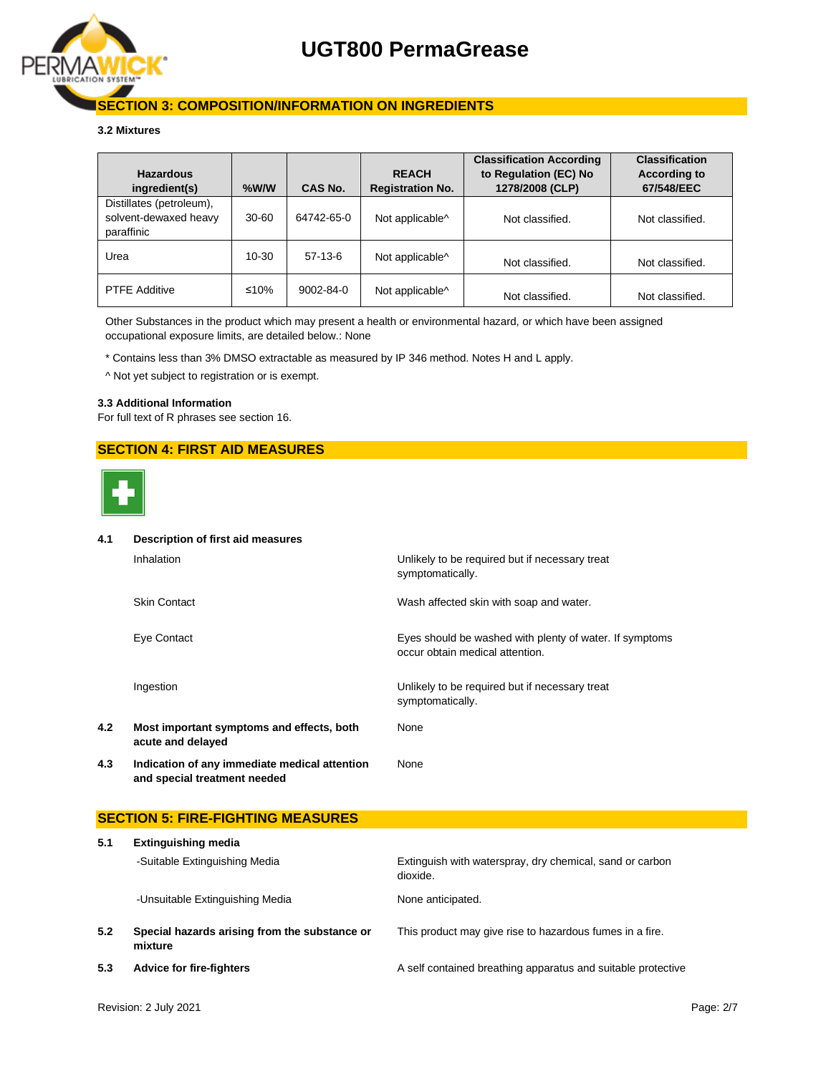

## **SECTION 3: COMPOSITION/INFORMATION ON INGREDIENTS**

#### **3.2 Mixtures**

| <b>Hazardous</b><br>ingredient(s)                               | $%$ W/W   | CAS No.         | <b>REACH</b><br><b>Registration No.</b> | <b>Classification According</b><br>to Regulation (EC) No<br>1278/2008 (CLP) | <b>Classification</b><br><b>According to</b><br>67/548/EEC |
|-----------------------------------------------------------------|-----------|-----------------|-----------------------------------------|-----------------------------------------------------------------------------|------------------------------------------------------------|
| Distillates (petroleum),<br>solvent-dewaxed heavy<br>paraffinic | $30 - 60$ | 64742-65-0      | Not applicable^                         | Not classified.                                                             | Not classified.                                            |
| Urea                                                            | $10 - 30$ | $57-13-6$       | Not applicable <sup>^</sup>             | Not classified.                                                             | Not classified.                                            |
| <b>PTFE Additive</b>                                            | ≤10%      | $9002 - 84 - 0$ | Not applicable^                         | Not classified.                                                             | Not classified.                                            |

Other Substances in the product which may present a health or environmental hazard, or which have been assigned occupational exposure limits, are detailed below.: None

\* Contains less than 3% DMSO extractable as measured by IP 346 method. Notes H and L apply.

^ Not yet subject to registration or is exempt.

#### **3.3 Additional Information**

For full text of R phrases see section 16.

## **SECTION 4: FIRST AID MEASURES**



#### **4.1 Description of first aid measures**

|     | Inhalation                                                                    | Unlikely to be required but if necessary treat<br>symptomatically.                         |
|-----|-------------------------------------------------------------------------------|--------------------------------------------------------------------------------------------|
|     | <b>Skin Contact</b>                                                           | Wash affected skin with soap and water.                                                    |
|     | Eye Contact                                                                   | Eyes should be washed with plenty of water. If symptoms<br>occur obtain medical attention. |
|     | Ingestion                                                                     | Unlikely to be required but if necessary treat<br>symptomatically.                         |
| 4.2 | Most important symptoms and effects, both<br>acute and delayed                | None                                                                                       |
| 4.3 | Indication of any immediate medical attention<br>and special treatment needed | None                                                                                       |

### **SECTION 5: FIRE-FIGHTING MEASURES**

| 5.1 | <b>Extinguishing media</b>                               |                                                                      |  |  |  |  |
|-----|----------------------------------------------------------|----------------------------------------------------------------------|--|--|--|--|
|     | -Suitable Extinguishing Media                            | Extinguish with waterspray, dry chemical, sand or carbon<br>dioxide. |  |  |  |  |
|     | -Unsuitable Extinguishing Media                          | None anticipated.                                                    |  |  |  |  |
| 5.2 | Special hazards arising from the substance or<br>mixture | This product may give rise to hazardous fumes in a fire.             |  |  |  |  |
| 5.3 | <b>Advice for fire-fighters</b>                          | A self contained breathing apparatus and suitable protective         |  |  |  |  |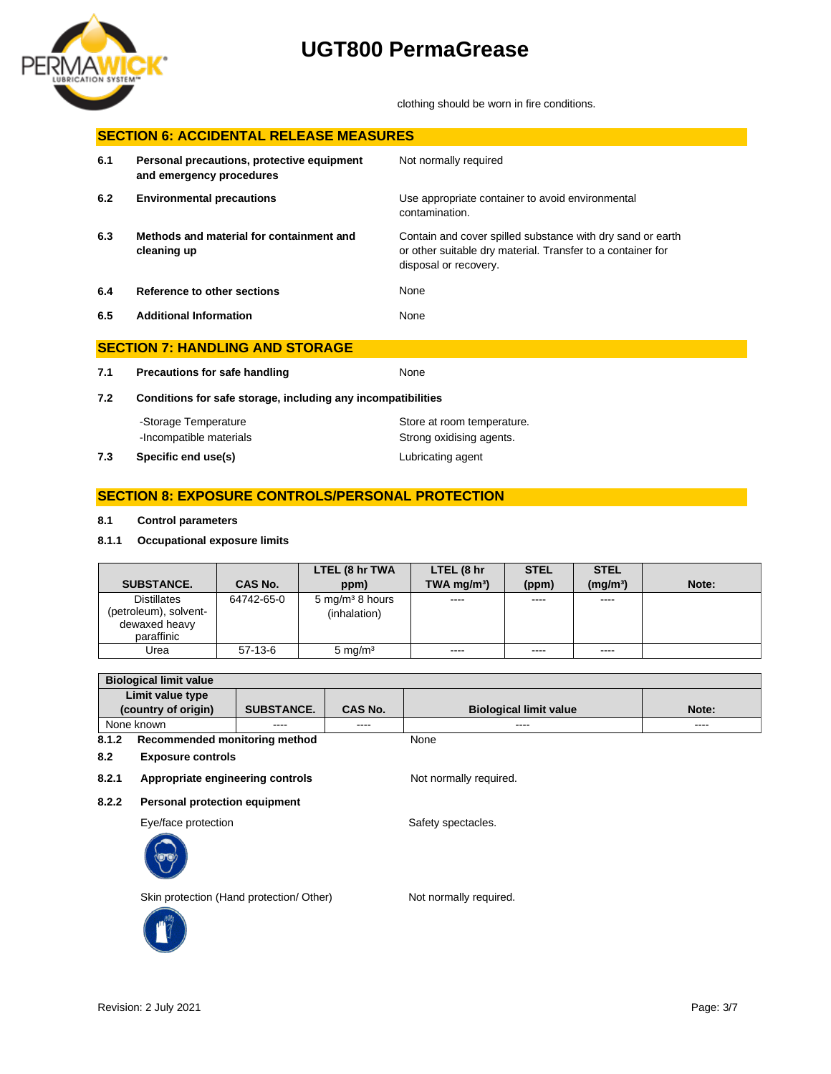

clothing should be worn in fire conditions.

| <b>SECTION 6: ACCIDENTAL RELEASE MEASURES</b> |                                                                        |                                                                                                                                                    |  |  |
|-----------------------------------------------|------------------------------------------------------------------------|----------------------------------------------------------------------------------------------------------------------------------------------------|--|--|
| 6.1                                           | Personal precautions, protective equipment<br>and emergency procedures | Not normally required                                                                                                                              |  |  |
| 6.2                                           | <b>Environmental precautions</b>                                       | Use appropriate container to avoid environmental<br>contamination.                                                                                 |  |  |
| 6.3                                           | Methods and material for containment and<br>cleaning up                | Contain and cover spilled substance with dry sand or earth<br>or other suitable dry material. Transfer to a container for<br>disposal or recovery. |  |  |
| 6.4                                           | <b>Reference to other sections</b>                                     | None                                                                                                                                               |  |  |
| 6.5                                           | <b>Additional Information</b>                                          | None                                                                                                                                               |  |  |
| <b>SECTION 7: HANDLING AND STORAGE</b>        |                                                                        |                                                                                                                                                    |  |  |
| 7.1                                           | <b>Precautions for safe handling</b>                                   | None                                                                                                                                               |  |  |
| 7.2                                           | Conditions for safe storage, including any incompatibilities           |                                                                                                                                                    |  |  |
|                                               | -Storage Temperature<br>-Incompatible materials                        | Store at room temperature.<br>Strong oxidising agents.                                                                                             |  |  |
| 7.3                                           | Specific end use(s)                                                    | Lubricating agent                                                                                                                                  |  |  |

### **SECTION 8: EXPOSURE CONTROLS/PERSONAL PROTECTION**

#### **8.1 Control parameters**

#### **8.1.1 Occupational exposure limits**

| <b>SUBSTANCE.</b>                                                          | CAS No.    | LTEL (8 hr TWA<br>ppm)                     | LTEL (8 hr<br>TWA $mq/m3$ ) | <b>STEL</b><br>(ppm) | <b>STEL</b><br>(mg/m <sup>3</sup> ) | Note: |
|----------------------------------------------------------------------------|------------|--------------------------------------------|-----------------------------|----------------------|-------------------------------------|-------|
| <b>Distillates</b><br>(petroleum), solvent-<br>dewaxed heavy<br>paraffinic | 64742-65-0 | $5 \text{ mg/m}^3$ 8 hours<br>(inhalation) | $\frac{1}{2}$               | ----                 | ----                                |       |
| Urea                                                                       | $57-13-6$  | $5 \text{ mg/m}^3$                         | $- - - -$                   | $- - - -$            | ----                                |       |

| <b>Biological limit value</b>            |  |         |                               |       |
|------------------------------------------|--|---------|-------------------------------|-------|
| Limit value type                         |  |         |                               |       |
| (country of origin)<br><b>SUBSTANCE.</b> |  | CAS No. | <b>Biological limit value</b> | Note: |
| None known<br>$\cdots$                   |  | ----    | ----                          | ----  |
| 8.1.2<br>Recommended monitoring method   |  |         | None                          |       |

**8.2 Exposure controls**

8.2.1 **Appropriate engineering controls** Not normally required.

**8.2.2 Personal protection equipment**

Eye/face protection Safety spectacles.



Skin protection (Hand protection/ Other) Not normally required.

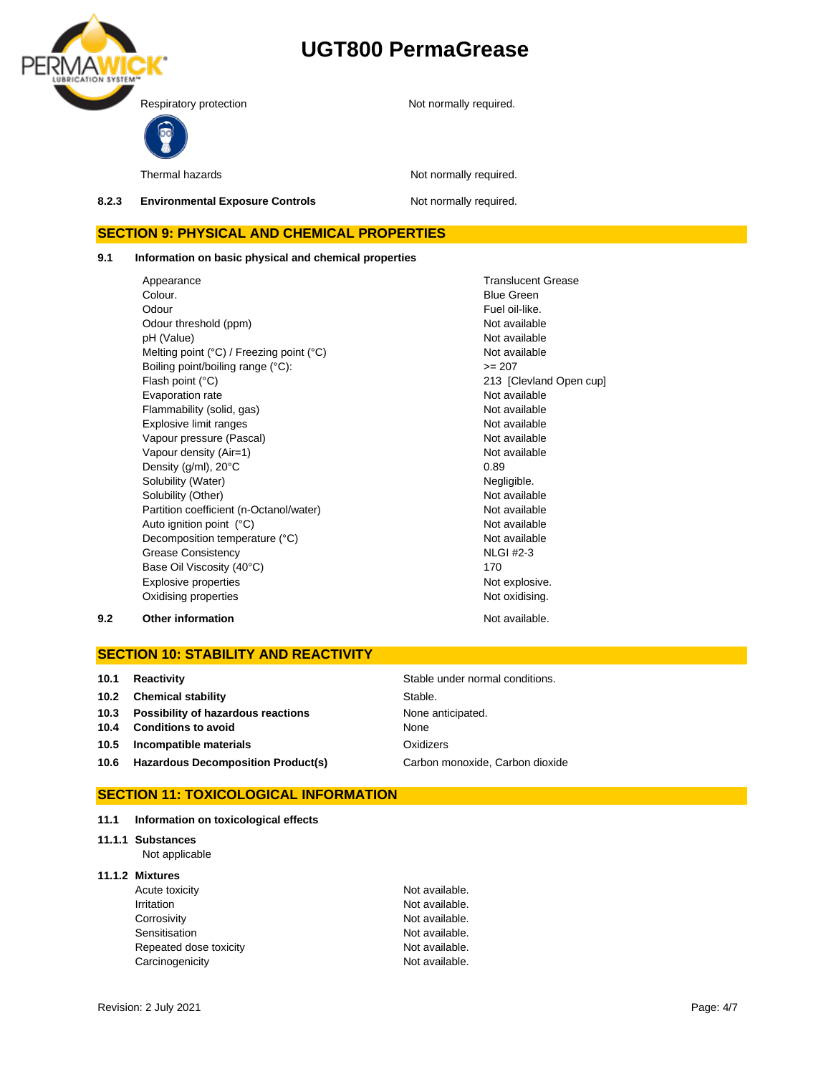

Thermal hazards **Not normally required.** 

8.2.3 **Environmental Exposure Controls** Not normally required.

### **SECTION 9: PHYSICAL AND CHEMICAL PROPERTIES**

**9.1 Information on basic physical and chemical properties**

Appearance Translucent Grease Translucent Grease Colour. **Blue Green** Odour **Fuel oil-like.** Odour threshold (ppm) Not available pH (Value)<br>
Mot available<br>
Melting point (°C) / Freezing point (°C)<br>
Mot available Melting point (°C) / Freezing point (°C) Boiling point/boiling range (°C):  $> = 207$ Flash point (°C) 213 [Clevland Open cup]<br>Evaporation rate Not available Not available Evaporation rate Flammability (solid, gas) Not available Explosive limit ranges Not available Vapour pressure (Pascal) Not available Not available Vapour density (Air=1) Not available Density  $(g/ml)$ ,  $20^{\circ}$ C 0.89 Solubility (Water) **Negligible.**<br>
Solubility (Other) **Negligible** Not available Solubility (Other)<br>
Partition coefficient (n-Octanol/water)<br>
Not available Partition coefficient (n-Octanol/water) Not available<br>
Auto ignition point (°C) Not available Auto ignition point  $(^{\circ}C)$ Decomposition temperature (°C) Not available Grease Consistency Base Oil Viscosity (40°C) Explosive properties Not explosive. Oxidising properties **Not oxidising.** Not oxidising.

NLGI #2-3 170

## **9.2 Other information Not available. Not available.**

### **SECTION 10: STABILITY AND REACTIVITY**

| 10.1 | Reactivity                              | Stable under normal conditions. |
|------|-----------------------------------------|---------------------------------|
|      | 10.2 Chemical stability                 | Stable.                         |
|      | 10.3 Possibility of hazardous reactions | None anticipated.               |
|      | 10.4 Conditions to avoid                | None                            |
|      | 10.5 Incompatible materials             | Oxidizers                       |
|      | 10.6 Hazardous Decomposition Product(s) | Carbon monoxide, Carbon dioxide |

### **SECTION 11: TOXICOLOGICAL INFORMATION**

- **11.1 Information on toxicological effects**
- **11.1.1 Substances**

Not applicable

#### **11.1.2 Mixtures**

| Acute toxicity         | Not available. |
|------------------------|----------------|
| Irritation             | Not available. |
| Corrosivity            | Not available. |
| Sensitisation          | Not available. |
| Repeated dose toxicity | Not available. |
| Carcinogenicity        | Not available. |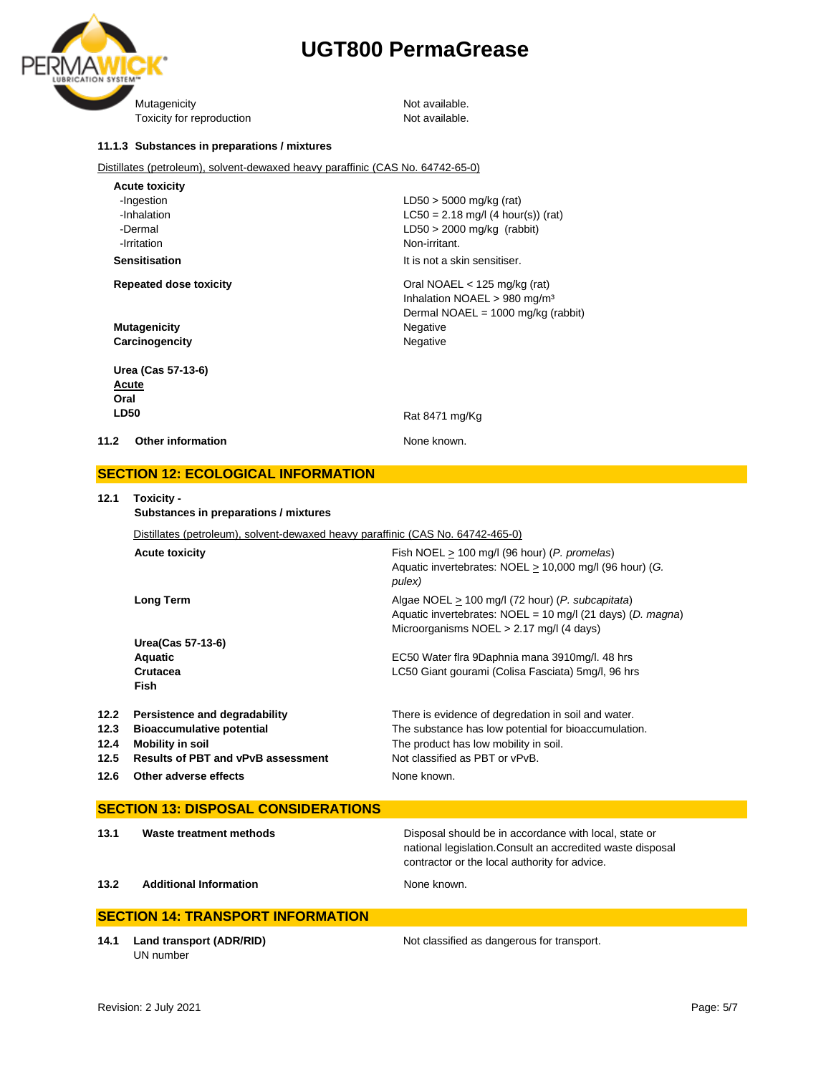

Mutagenicity **Not available.** Toxicity for reproduction Toxicity for reproduction

#### **11.1.3 Substances in preparations / mixtures**

Distillates (petroleum), solvent-dewaxed heavy paraffinic (CAS No. 64742-65-0)

| <b>Acute toxicity</b>            |                                          |
|----------------------------------|------------------------------------------|
| -Ingestion                       | $LD50 > 5000$ mg/kg (rat)                |
| -Inhalation                      | $LC50 = 2.18$ mg/l (4 hour(s)) (rat)     |
| -Dermal                          | $LD50 > 2000$ mg/kg (rabbit)             |
| -Irritation                      | Non-irritant.                            |
| <b>Sensitisation</b>             | It is not a skin sensitiser.             |
| <b>Repeated dose toxicity</b>    | Oral NOAEL $<$ 125 mg/kg (rat)           |
|                                  | Inhalation NOAEL > 980 mg/m <sup>3</sup> |
|                                  | Dermal NOAEL = $1000$ mg/kg (rabbit)     |
| <b>Mutagenicity</b>              | Negative                                 |
| Carcinogencity                   | Negative                                 |
| Urea (Cas 57-13-6)               |                                          |
| Acute                            |                                          |
| Oral                             |                                          |
| <b>LD50</b>                      | Rat 8471 mg/Kg                           |
| <b>Other information</b><br>11.2 | None known.                              |
|                                  |                                          |

### **SECTION 12: ECOLOGICAL INFORMATION**

#### **12.1 Toxicity -**

**Substances in preparations / mixtures**

Distillates (petroleum), solvent-dewaxed heavy paraffinic (CAS No. 64742-465-0)

|      | <b>Acute toxicity</b>                     | Fish NOEL $> 100$ mg/l (96 hour) (P. promelas)<br>Aquatic invertebrates: NOEL > 10,000 mg/l (96 hour) (G.<br>pulex)                                            |
|------|-------------------------------------------|----------------------------------------------------------------------------------------------------------------------------------------------------------------|
|      | Long Term                                 | Algae NOEL > 100 mg/l (72 hour) (P. subcapitata)<br>Aquatic invertebrates: $NOEL = 10$ mg/l (21 days) (D. magna)<br>Microorganisms $NOEL > 2.17$ mg/l (4 days) |
|      | Urea(Cas 57-13-6)                         |                                                                                                                                                                |
|      | <b>Aquatic</b>                            | EC50 Water fira 9Daphnia mana 3910mg/l. 48 hrs                                                                                                                 |
|      | Crutacea                                  | LC50 Giant gourami (Colisa Fasciata) 5mg/l, 96 hrs                                                                                                             |
|      | <b>Fish</b>                               |                                                                                                                                                                |
| 12.2 | Persistence and degradability             | There is evidence of degredation in soil and water.                                                                                                            |
| 12.3 | <b>Bioaccumulative potential</b>          | The substance has low potential for bioaccumulation.                                                                                                           |
| 12.4 | <b>Mobility in soil</b>                   | The product has low mobility in soil.                                                                                                                          |
| 12.5 | <b>Results of PBT and vPvB assessment</b> | Not classified as PBT or vPvB.                                                                                                                                 |
| 12.6 | Other adverse effects                     | None known.                                                                                                                                                    |

|                                          | <b>SECTION 13: DISPOSAL CONSIDERATIONS</b> |                                                                                                                                                                      |  |
|------------------------------------------|--------------------------------------------|----------------------------------------------------------------------------------------------------------------------------------------------------------------------|--|
| 13.1                                     | Waste treatment methods                    | Disposal should be in accordance with local, state or<br>national legislation. Consult an accredited waste disposal<br>contractor or the local authority for advice. |  |
| 13.2                                     | <b>Additional Information</b>              | None known.                                                                                                                                                          |  |
| <b>SECTION 14: TRANSPORT INFORMATION</b> |                                            |                                                                                                                                                                      |  |

**14.1 Land transport (ADR/RID)** Not classified as dangerous for transport. UN number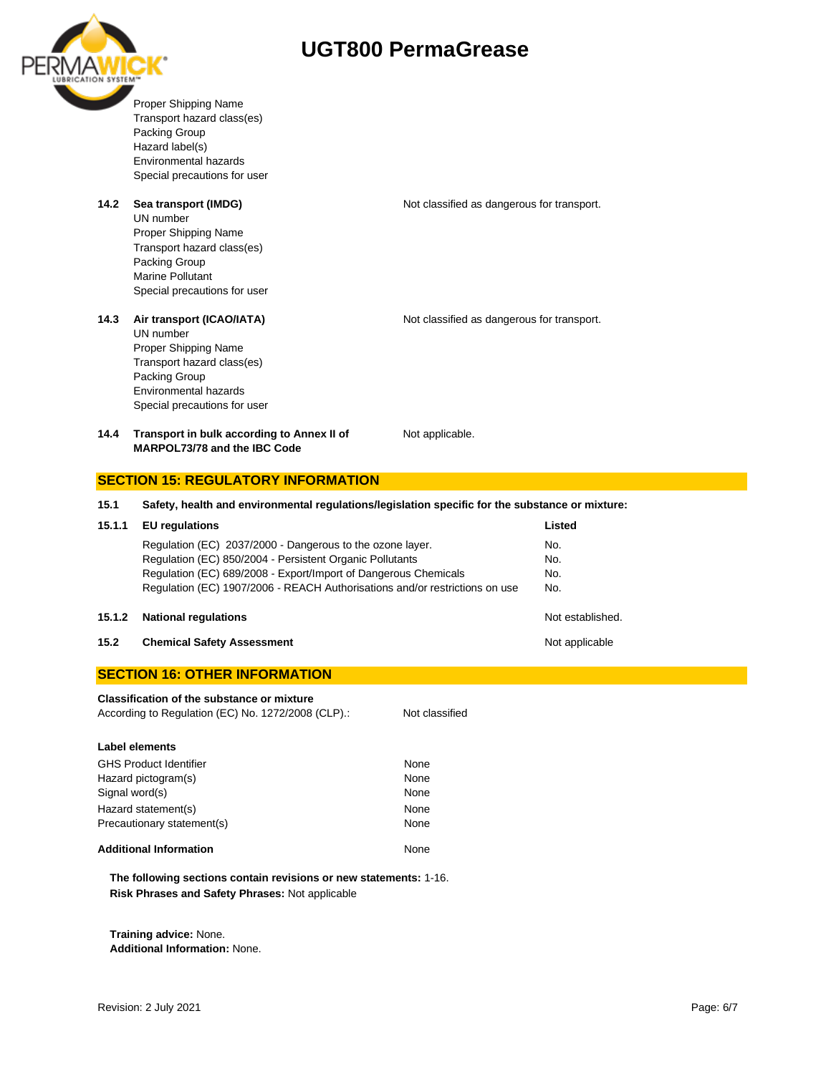

Proper Shipping Name Transport hazard class(es) Packing Group Hazard label(s) Environmental hazards Special precautions for user **14.2 Sea transport (IMDG)** Not classified as dangerous for transport. UN number Proper Shipping Name Transport hazard class(es) Packing Group Marine Pollutant Special precautions for user **14.3 Air transport (ICAO/IATA)** Not classified as dangerous for transport. UN number Proper Shipping Name Transport hazard class(es) Packing Group Environmental hazards Special precautions for user **14.4 Transport in bulk according to Annex II of MARPOL73/78 and the IBC Code** Not applicable. **SECTION 15: REGULATORY INFORMATION 15.1 Safety, health and environmental regulations/legislation specific for the substance or mixture: 15.1.1 EU regulations Listed** Regulation (EC) 2037/2000 - Dangerous to the ozone layer. No. Regulation (EC) 850/2004 - Persistent Organic Pollutants No. Regulation (EC) 689/2008 - Export/Import of Dangerous Chemicals No. Regulation (EC) 1907/2006 - REACH Authorisations and/or restrictions on use No. **15.1.2 National regulations Note that the extendio of the extendio of the extendio of the extendio of the extendio of the extendio of the extendio of the extendio of the extendio of the extendio of the extendio of the e 15.2 Chemical Safety Assessment Not applicable** Not applicable **SECTION 16: OTHER INFORMATION Classification of the substance or mixture** According to Regulation (EC) No. 1272/2008 (CLP).: Not classified

| <b>Label elements</b>         |      |
|-------------------------------|------|
| <b>GHS Product Identifier</b> | None |
| Hazard pictogram(s)           | None |
| Signal word(s)                | None |
| Hazard statement(s)           | None |
| Precautionary statement(s)    | None |
| <b>Additional Information</b> | None |

**The following sections contain revisions or new statements:** 1-16. **Risk Phrases and Safety Phrases:** Not applicable

**Training advice:** None. **Additional Information:** None.